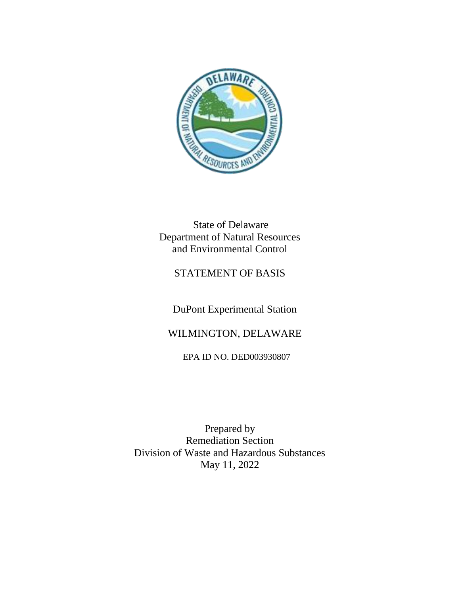

State of Delaware Department of Natural Resources and Environmental Control

# STATEMENT OF BASIS

DuPont Experimental Station

# WILMINGTON, DELAWARE

EPA ID NO. DED003930807

Prepared by Remediation Section Division of Waste and Hazardous Substances May 11, 2022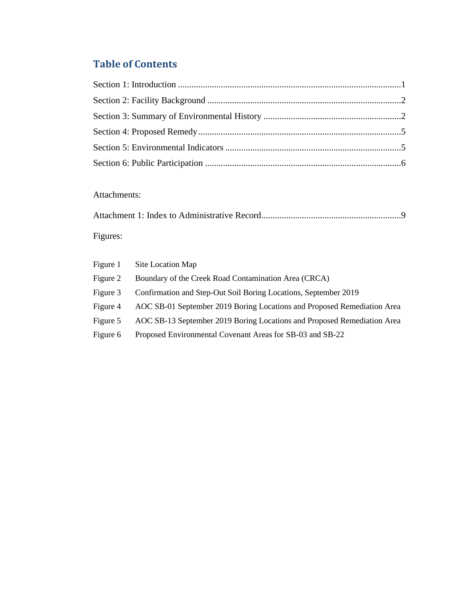# **Table of Contents**

## Attachments:

| Figures: |  |
|----------|--|

| Figure 1 | Site Location Map                                                       |
|----------|-------------------------------------------------------------------------|
| Figure 2 | Boundary of the Creek Road Contamination Area (CRCA)                    |
| Figure 3 | Confirmation and Step-Out Soil Boring Locations, September 2019         |
| Figure 4 | AOC SB-01 September 2019 Boring Locations and Proposed Remediation Area |
| Figure 5 | AOC SB-13 September 2019 Boring Locations and Proposed Remediation Area |
| Figure 6 | Proposed Environmental Covenant Areas for SB-03 and SB-22               |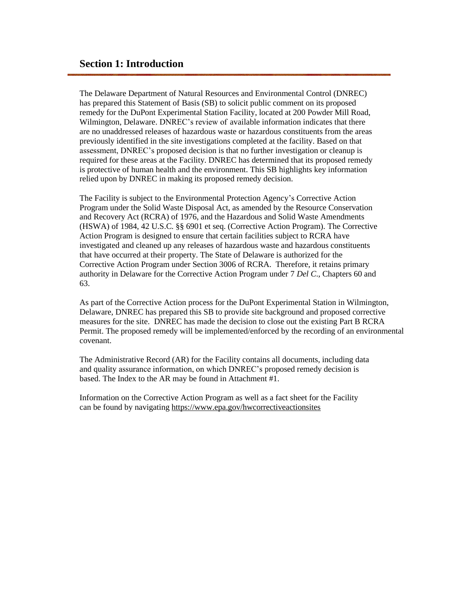<span id="page-2-0"></span>The Delaware Department of Natural Resources and Environmental Control (DNREC) has prepared this Statement of Basis (SB) to solicit public comment on its proposed remedy for the DuPont Experimental Station Facility, located at 200 Powder Mill Road, Wilmington, Delaware. DNREC's review of available information indicates that there are no unaddressed releases of hazardous waste or hazardous constituents from the areas previously identified in the site investigations completed at the facility. Based on that assessment, DNREC's proposed decision is that no further investigation or cleanup is required for these areas at the Facility. DNREC has determined that its proposed remedy is protective of human health and the environment. This SB highlights key information relied upon by DNREC in making its proposed remedy decision.

The Facility is subject to the Environmental Protection Agency's Corrective Action Program under the Solid Waste Disposal Act, as amended by the Resource Conservation and Recovery Act (RCRA) of 1976, and the Hazardous and Solid Waste Amendments (HSWA) of 1984, 42 U.S.C. §§ 6901 et seq. (Corrective Action Program). The Corrective Action Program is designed to ensure that certain facilities subject to RCRA have investigated and cleaned up any releases of hazardous waste and hazardous constituents that have occurred at their property. The State of Delaware is authorized for the Corrective Action Program under Section 3006 of RCRA. Therefore, it retains primary authority in Delaware for the Corrective Action Program under 7 *Del C*., Chapters 60 and 63.

As part of the Corrective Action process for the DuPont Experimental Station in Wilmington, Delaware, DNREC has prepared this SB to provide site background and proposed corrective measures for the site. DNREC has made the decision to close out the existing Part B RCRA Permit. The proposed remedy will be implemented/enforced by the recording of an environmental covenant.

The Administrative Record (AR) for the Facility contains all documents, including data and quality assurance information, on which DNREC's proposed remedy decision is based. The Index to the AR may be found in Attachment #1.

Information on the Corrective Action Program as well as a fact sheet for the Facility can be found by navigating <https://www.epa.gov/hwcorrectiveactionsites>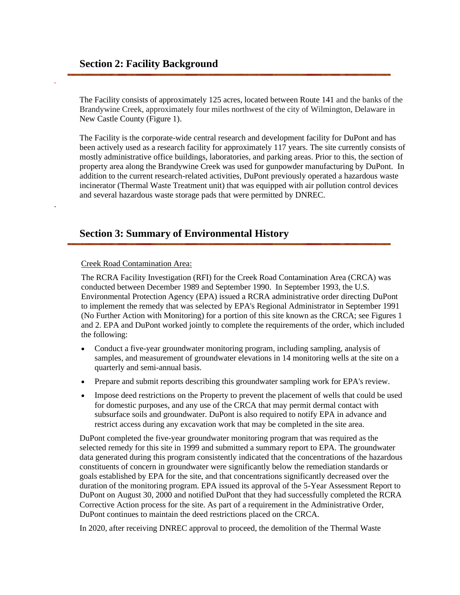<span id="page-3-0"></span>.

<span id="page-3-1"></span>.

The Facility consists of approximately 125 acres, located between Route 141 and the banks of the Brandywine Creek, approximately four miles northwest of the city of Wilmington, Delaware in New Castle County (Figure 1).

The Facility is the corporate-wide central research and development facility for DuPont and has been actively used as a research facility for approximately 117 years. The site currently consists of mostly administrative office buildings, laboratories, and parking areas. Prior to this, the section of property area along the Brandywine Creek was used for gunpowder manufacturing by DuPont. In addition to the current research-related activities, DuPont previously operated a hazardous waste incinerator (Thermal Waste Treatment unit) that was equipped with air pollution control devices and several hazardous waste storage pads that were permitted by DNREC.

#### **Section 3: Summary of Environmental History**

Creek Road Contamination Area:

The RCRA Facility Investigation (RFI) for the Creek Road Contamination Area (CRCA) was conducted between December 1989 and September 1990. In September 1993, the U.S. Environmental Protection Agency (EPA) issued a RCRA administrative order directing DuPont to implement the remedy that was selected by EPA's Regional Administrator in September 1991 (No Further Action with Monitoring) for a portion of this site known as the CRCA; see Figures 1 and 2. EPA and DuPont worked jointly to complete the requirements of the order, which included the following:

- Conduct a five-year groundwater monitoring program, including sampling, analysis of samples, and measurement of groundwater elevations in 14 monitoring wells at the site on a quarterly and semi-annual basis.
- Prepare and submit reports describing this groundwater sampling work for EPA's review.
- Impose deed restrictions on the Property to prevent the placement of wells that could be used for domestic purposes, and any use of the CRCA that may permit dermal contact with subsurface soils and groundwater. DuPont is also required to notify EPA in advance and restrict access during any excavation work that may be completed in the site area.

DuPont completed the five-year groundwater monitoring program that was required as the selected remedy for this site in 1999 and submitted a summary report to EPA. The groundwater data generated during this program consistently indicated that the concentrations of the hazardous constituents of concern in groundwater were significantly below the remediation standards or goals established by EPA for the site, and that concentrations significantly decreased over the duration of the monitoring program. EPA issued its approval of the 5-Year Assessment Report to DuPont on August 30, 2000 and notified DuPont that they had successfully completed the RCRA Corrective Action process for the site. As part of a requirement in the Administrative Order, DuPont continues to maintain the deed restrictions placed on the CRCA.

In 2020, after receiving DNREC approval to proceed, the demolition of the Thermal Waste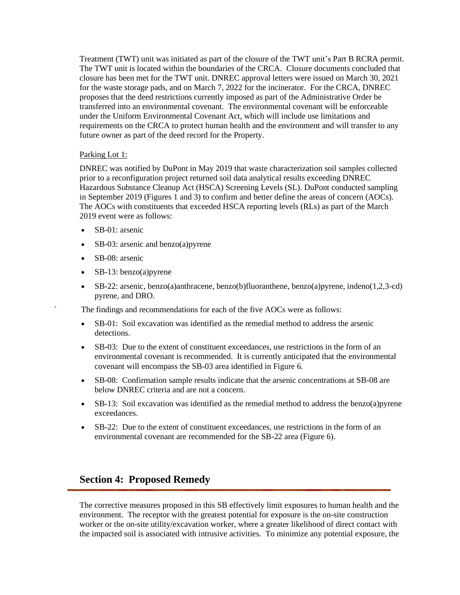Treatment (TWT) unit was initiated as part of the closure of the TWT unit's Part B RCRA permit. The TWT unit is located within the boundaries of the CRCA. Closure documents concluded that closure has been met for the TWT unit. DNREC approval letters were issued on March 30, 2021 for the waste storage pads, and on March 7, 2022 for the incinerator. For the CRCA, DNREC proposes that the deed restrictions currently imposed as part of the Administrative Order be transferred into an environmental covenant. The environmental covenant will be enforceable under the Uniform Environmental Covenant Act, which will include use limitations and requirements on the CRCA to protect human health and the environment and will transfer to any future owner as part of the deed record for the Property.

#### Parking Lot 1:

DNREC was notified by DuPont in May 2019 that waste characterization soil samples collected prior to a reconfiguration project returned soil data analytical results exceeding DNREC Hazardous Substance Cleanup Act (HSCA) Screening Levels (SL). DuPont conducted sampling in September 2019 (Figures 1 and 3) to confirm and better define the areas of concern (AOCs). The AOCs with constituents that exceeded HSCA reporting levels (RLs) as part of the March 2019 event were as follows:

- SB-01: arsenic
- SB-03: arsenic and benzo(a) pyrene
- SB-08: arsenic
- SB-13: benzo(a) pyrene
- SB-22: arsenic, benzo(a)anthracene, benzo(b)fluoranthene, benzo(a)pyrene, indeno(1,2,3-cd) pyrene, and DRO.

The findings and recommendations for each of the five AOCs were as follows:

- SB-01: Soil excavation was identified as the remedial method to address the arsenic detections.
- SB-03: Due to the extent of constituent exceedances, use restrictions in the form of an environmental covenant is recommended. It is currently anticipated that the environmental covenant will encompass the SB-03 area identified in Figure 6.
- SB-08: Confirmation sample results indicate that the arsenic concentrations at SB-08 are below DNREC criteria and are not a concern.
- SB-13: Soil excavation was identified as the remedial method to address the benzo(a) pyrene exceedances.
- SB-22: Due to the extent of constituent exceedances, use restrictions in the form of an environmental covenant are recommended for the SB-22 area (Figure 6).

# **Section 4: Proposed Remedy**

The corrective measures proposed in this SB effectively limit exposures to human health and the environment. The receptor with the greatest potential for exposure is the on-site construction worker or the on-site utility/excavation worker, where a greater likelihood of direct contact with the impacted soil is associated with intrusive activities. To minimize any potential exposure, the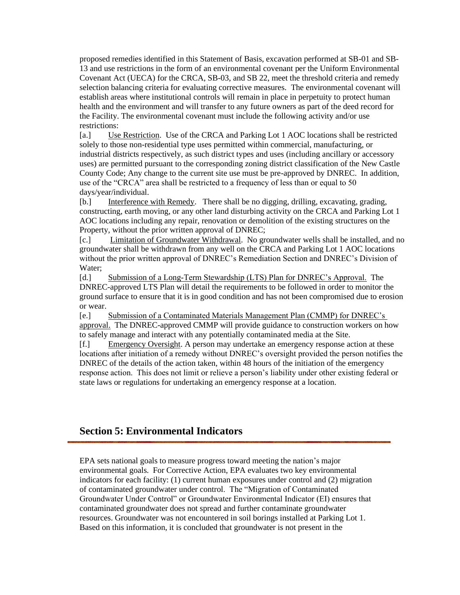proposed remedies identified in this Statement of Basis, excavation performed at SB-01 and SB-13 and use restrictions in the form of an environmental covenant per the Uniform Environmental Covenant Act (UECA) for the CRCA, SB-03, and SB 22, meet the threshold criteria and remedy selection balancing criteria for evaluating corrective measures. The environmental covenant will establish areas where institutional controls will remain in place in perpetuity to protect human health and the environment and will transfer to any future owners as part of the deed record for the Facility. The environmental covenant must include the following activity and/or use restrictions:

[a.] Use Restriction. Use of the CRCA and Parking Lot 1 AOC locations shall be restricted solely to those non-residential type uses permitted within commercial, manufacturing, or industrial districts respectively, as such district types and uses (including ancillary or accessory uses) are permitted pursuant to the corresponding zoning district classification of the New Castle County Code; Any change to the current site use must be pre-approved by DNREC. In addition, use of the "CRCA" area shall be restricted to a frequency of less than or equal to 50 days/year/individual.

[b.] Interference with Remedy. There shall be no digging, drilling, excavating, grading, constructing, earth moving, or any other land disturbing activity on the CRCA and Parking Lot 1 AOC locations including any repair, renovation or demolition of the existing structures on the Property, without the prior written approval of DNREC;

[c.] Limitation of Groundwater Withdrawal. No groundwater wells shall be installed, and no groundwater shall be withdrawn from any well on the CRCA and Parking Lot 1 AOC locations without the prior written approval of DNREC's Remediation Section and DNREC's Division of Water;

[d.] Submission of a Long-Term Stewardship (LTS) Plan for DNREC's Approval. The DNREC-approved LTS Plan will detail the requirements to be followed in order to monitor the ground surface to ensure that it is in good condition and has not been compromised due to erosion or wear.

[e.] Submission of a Contaminated Materials Management Plan (CMMP) for DNREC's approval. The DNREC-approved CMMP will provide guidance to construction workers on how to safely manage and interact with any potentially contaminated media at the Site.

[f.] Emergency Oversight. A person may undertake an emergency response action at these locations after initiation of a remedy without DNREC's oversight provided the person notifies the DNREC of the details of the action taken, within 48 hours of the initiation of the emergency response action. This does not limit or relieve a person's liability under other existing federal or state laws or regulations for undertaking an emergency response at a location.

## <span id="page-5-0"></span>**Section 5: Environmental Indicators**

EPA sets national goals to measure progress toward meeting the nation's major environmental goals. For Corrective Action, EPA evaluates two key environmental indicators for each facility: (1) current human exposures under control and (2) migration of contaminated groundwater under control. The "Migration of Contaminated Groundwater Under Control" or Groundwater Environmental Indicator (EI) ensures that contaminated groundwater does not spread and further contaminate groundwater resources. Groundwater was not encountered in soil borings installed at Parking Lot 1. Based on this information, it is concluded that groundwater is not present in the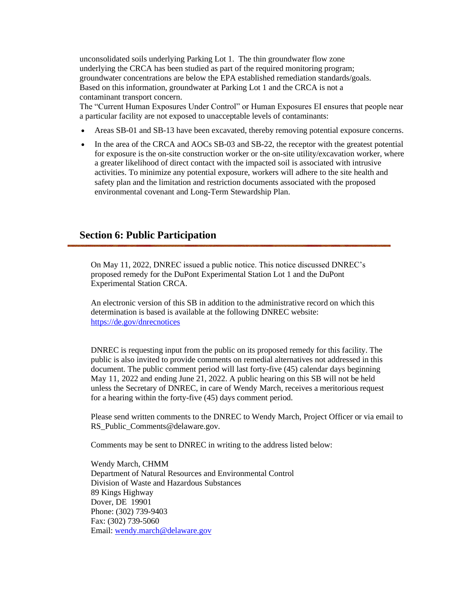unconsolidated soils underlying Parking Lot 1. The thin groundwater flow zone underlying the CRCA has been studied as part of the required monitoring program; groundwater concentrations are below the EPA established remediation standards/goals. Based on this information, groundwater at Parking Lot 1 and the CRCA is not a contaminant transport concern.

The "Current Human Exposures Under Control" or Human Exposures EI ensures that people near a particular facility are not exposed to unacceptable levels of contaminants:

- Areas SB-01 and SB-13 have been excavated, thereby removing potential exposure concerns.
- In the area of the CRCA and AOCs SB-03 and SB-22, the receptor with the greatest potential for exposure is the on-site construction worker or the on-site utility/excavation worker, where a greater likelihood of direct contact with the impacted soil is associated with intrusive activities. To minimize any potential exposure, workers will adhere to the site health and safety plan and the limitation and restriction documents associated with the proposed environmental covenant and Long-Term Stewardship Plan.

#### <span id="page-6-0"></span>**Section 6: Public Participation**

On May 11, 2022, DNREC issued a public notice. This notice discussed DNREC's proposed remedy for the DuPont Experimental Station Lot 1 and the DuPont Experimental Station CRCA.

An electronic version of this SB in addition to the administrative record on which this determination is based is available at the following DNREC website: <https://de.gov/dnrecnotices>

DNREC is requesting input from the public on its proposed remedy for this facility. The public is also invited to provide comments on remedial alternatives not addressed in this document. The public comment period will last forty-five (45) calendar days beginning May 11, 2022 and ending June 21, 2022. A public hearing on this SB will not be held unless the Secretary of DNREC, in care of Wendy March, receives a meritorious request for a hearing within the forty-five (45) days comment period.

Please send written comments to the DNREC to Wendy March, Project Officer or via email to RS\_Public\_Comments@delaware.gov.

Comments may be sent to DNREC in writing to the address listed below:

Wendy March, CHMM Department of Natural Resources and Environmental Control Division of Waste and Hazardous Substances 89 Kings Highway Dover, DE 19901 Phone: (302) 739-9403 Fax: (302) 739-5060 Email: [wendy.march@delaware.gov](mailto:wendy.march@delaware.gov)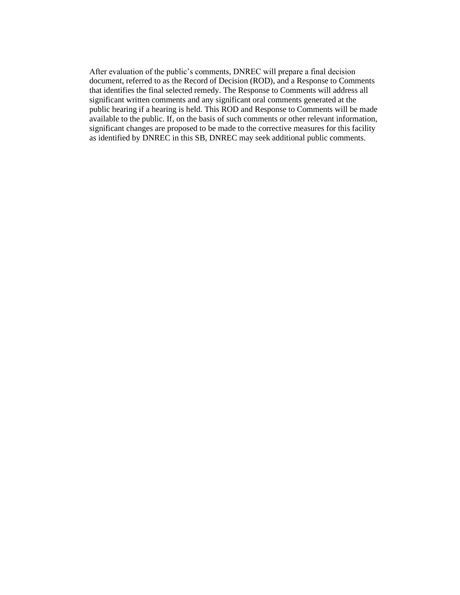After evaluation of the public's comments, DNREC will prepare a final decision document, referred to as the Record of Decision (ROD), and a Response to Comments that identifies the final selected remedy. The Response to Comments will address all significant written comments and any significant oral comments generated at the public hearing if a hearing is held. This ROD and Response to Comments will be made available to the public. If, on the basis of such comments or other relevant information, significant changes are proposed to be made to the corrective measures for this facility as identified by DNREC in this SB, DNREC may seek additional public comments.